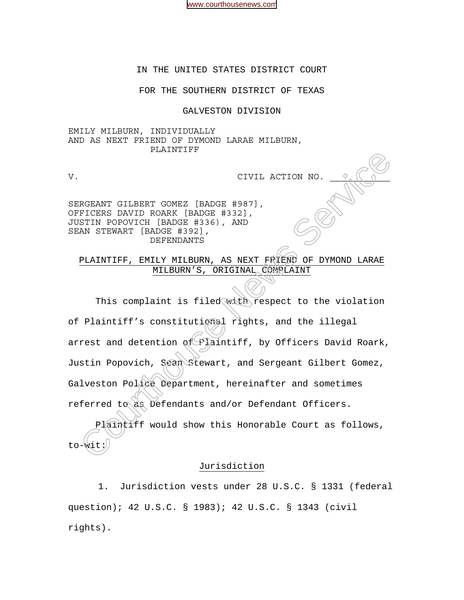[www.courthousenews.com](http://www.courthousenews.com)

## IN THE UNITED STATES DISTRICT COURT

#### FOR THE SOUTHERN DISTRICT OF TEXAS

#### GALVESTON DIVISION

EMILY MILBURN, INDIVIDUALLY AND AS NEXT FRIEND OF DYMOND LARAE MILBURN, PLAINTIFF

V. CIVIL ACTION NO.

SERGEANT GILBERT GOMEZ [BADGE #987], OFFICERS DAVID ROARK [BADGE #332], JUSTIN POPOVICH [BADGE #336), AND SEAN STEWART [BADGE #392], DEFENDANTS

PLAINTIFF, EMILY MILBURN, AS NEXT FRIEND OF DYMOND LARAE MILBURN'S, ORIGINAL COMPLAINT

This complaint is filed with respect to the violation of Plaintiff's constitutional rights, and the illegal arrest and detention of Plaintiff, by Officers David Roark, Justin Popovich, Sean Stewart, and Sergeant Gilbert Gomez, Galveston Police Department, hereinafter and sometimes referred to as Defendants and/or Defendant Officers. CIVIL ACTION NO. <br>
CIVIL ACTION NO. <br>
IN STEWART GILBERT GONEZ [BADGE #987],<br>
FICERS DAVID ROARK [BADGE #332],<br>
DAN STEWART [BADGE #336), AND<br>
DEFENDANTS<br>
DEFENDANTS<br>
DEFENDANTS<br>
PLAINTIFF, EMILY MILBURN'S, ORIGINAL COMPLA

Plaintiff would show this Honorable Court as follows, to-wit:

## Jurisdiction

1. Jurisdiction vests under 28 U.S.C. § 1331 (federal question); 42 U.S.C. § 1983); 42 U.S.C. § 1343 (civil rights).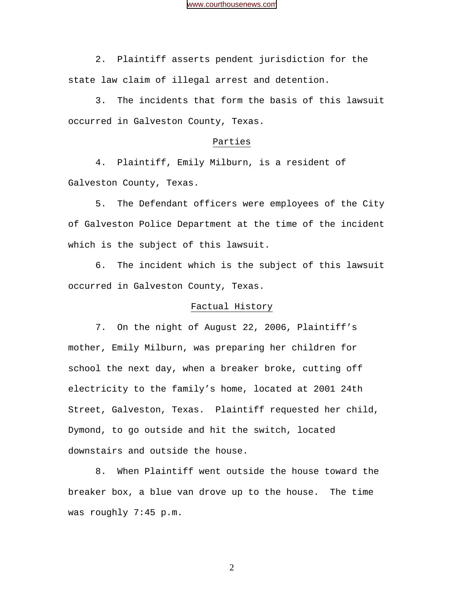2. Plaintiff asserts pendent jurisdiction for the state law claim of illegal arrest and detention.

3. The incidents that form the basis of this lawsuit occurred in Galveston County, Texas.

# Parties

 4. Plaintiff, Emily Milburn, is a resident of Galveston County, Texas.

 5. The Defendant officers were employees of the City of Galveston Police Department at the time of the incident which is the subject of this lawsuit.

 6. The incident which is the subject of this lawsuit occurred in Galveston County, Texas.

## Factual History

 7. On the night of August 22, 2006, Plaintiff's mother, Emily Milburn, was preparing her children for school the next day, when a breaker broke, cutting off electricity to the family's home, located at 2001 24th Street, Galveston, Texas. Plaintiff requested her child, Dymond, to go outside and hit the switch, located downstairs and outside the house.

 8. When Plaintiff went outside the house toward the breaker box, a blue van drove up to the house. The time was roughly 7:45 p.m.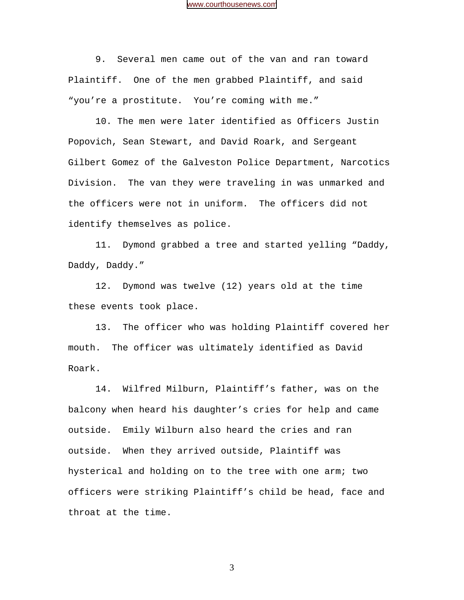9. Several men came out of the van and ran toward Plaintiff. One of the men grabbed Plaintiff, and said "you're a prostitute. You're coming with me."

 10. The men were later identified as Officers Justin Popovich, Sean Stewart, and David Roark, and Sergeant Gilbert Gomez of the Galveston Police Department, Narcotics Division. The van they were traveling in was unmarked and the officers were not in uniform. The officers did not identify themselves as police.

11. Dymond grabbed a tree and started yelling "Daddy, Daddy, Daddy."

12. Dymond was twelve (12) years old at the time these events took place.

13. The officer who was holding Plaintiff covered her mouth. The officer was ultimately identified as David Roark.

14. Wilfred Milburn, Plaintiff's father, was on the balcony when heard his daughter's cries for help and came outside. Emily Wilburn also heard the cries and ran outside. When they arrived outside, Plaintiff was hysterical and holding on to the tree with one arm; two officers were striking Plaintiff's child be head, face and throat at the time.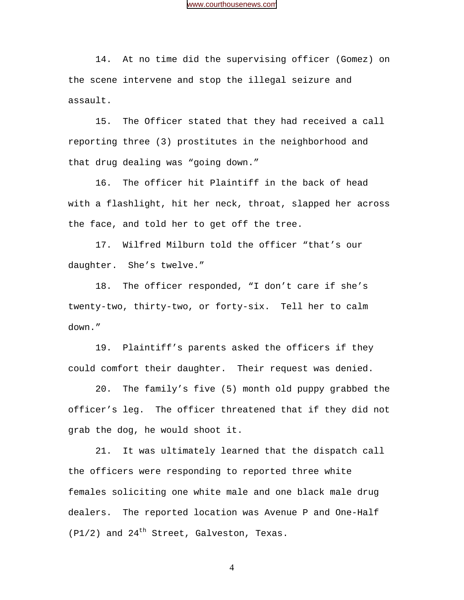14. At no time did the supervising officer (Gomez) on the scene intervene and stop the illegal seizure and assault.

15. The Officer stated that they had received a call reporting three (3) prostitutes in the neighborhood and that drug dealing was "going down."

16. The officer hit Plaintiff in the back of head with a flashlight, hit her neck, throat, slapped her across the face, and told her to get off the tree.

17. Wilfred Milburn told the officer "that's our daughter. She's twelve."

18. The officer responded, "I don't care if she's twenty-two, thirty-two, or forty-six. Tell her to calm down."

19. Plaintiff's parents asked the officers if they could comfort their daughter. Their request was denied.

20. The family's five (5) month old puppy grabbed the officer's leg. The officer threatened that if they did not grab the dog, he would shoot it.

21. It was ultimately learned that the dispatch call the officers were responding to reported three white females soliciting one white male and one black male drug dealers. The reported location was Avenue P and One-Half  $(P1/2)$  and  $24<sup>th</sup>$  Street, Galveston, Texas.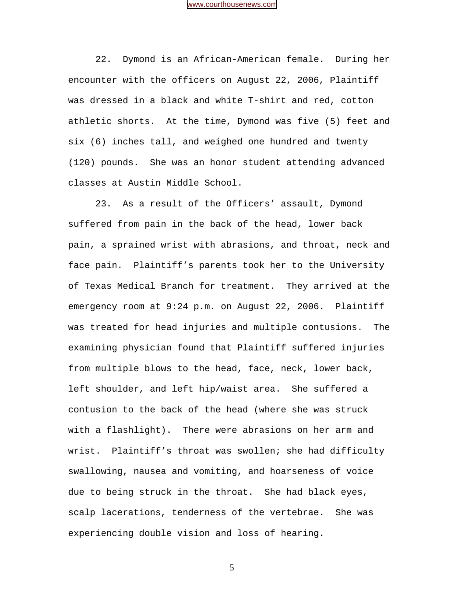22. Dymond is an African-American female. During her encounter with the officers on August 22, 2006, Plaintiff was dressed in a black and white T-shirt and red, cotton athletic shorts. At the time, Dymond was five (5) feet and six (6) inches tall, and weighed one hundred and twenty (120) pounds. She was an honor student attending advanced classes at Austin Middle School.

23. As a result of the Officers' assault, Dymond suffered from pain in the back of the head, lower back pain, a sprained wrist with abrasions, and throat, neck and face pain. Plaintiff's parents took her to the University of Texas Medical Branch for treatment. They arrived at the emergency room at 9:24 p.m. on August 22, 2006. Plaintiff was treated for head injuries and multiple contusions. The examining physician found that Plaintiff suffered injuries from multiple blows to the head, face, neck, lower back, left shoulder, and left hip/waist area. She suffered a contusion to the back of the head (where she was struck with a flashlight). There were abrasions on her arm and wrist. Plaintiff's throat was swollen; she had difficulty swallowing, nausea and vomiting, and hoarseness of voice due to being struck in the throat. She had black eyes, scalp lacerations, tenderness of the vertebrae. She was experiencing double vision and loss of hearing.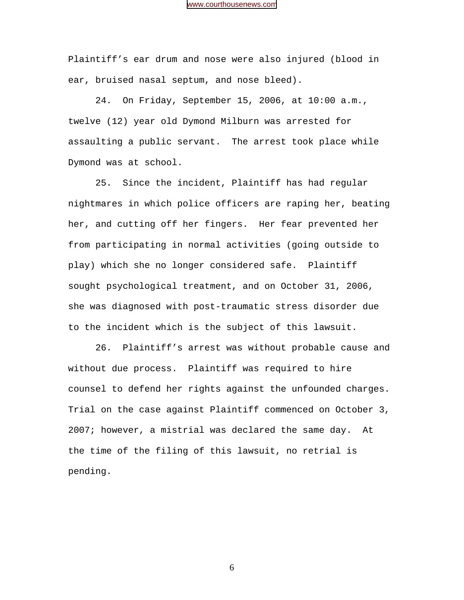Plaintiff's ear drum and nose were also injured (blood in ear, bruised nasal septum, and nose bleed).

24. On Friday, September 15, 2006, at 10:00 a.m., twelve (12) year old Dymond Milburn was arrested for assaulting a public servant. The arrest took place while Dymond was at school.

25. Since the incident, Plaintiff has had regular nightmares in which police officers are raping her, beating her, and cutting off her fingers. Her fear prevented her from participating in normal activities (going outside to play) which she no longer considered safe. Plaintiff sought psychological treatment, and on October 31, 2006, she was diagnosed with post-traumatic stress disorder due to the incident which is the subject of this lawsuit.

26. Plaintiff's arrest was without probable cause and without due process. Plaintiff was required to hire counsel to defend her rights against the unfounded charges. Trial on the case against Plaintiff commenced on October 3, 2007; however, a mistrial was declared the same day. At the time of the filing of this lawsuit, no retrial is pending.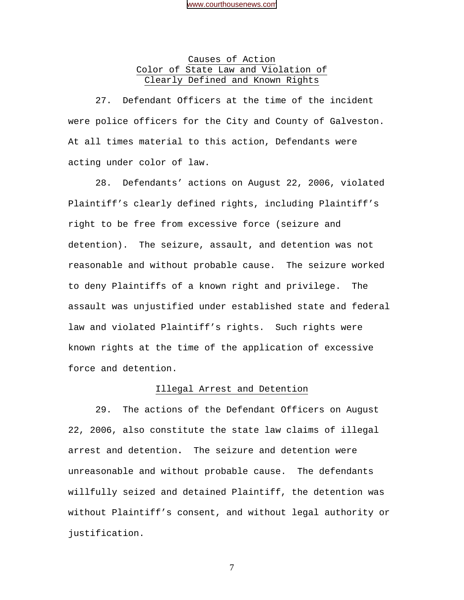# Causes of Action Color of State Law and Violation of Clearly Defined and Known Rights

 27. Defendant Officers at the time of the incident were police officers for the City and County of Galveston. At all times material to this action, Defendants were acting under color of law.

28. Defendants' actions on August 22, 2006, violated Plaintiff's clearly defined rights, including Plaintiff's right to be free from excessive force (seizure and detention). The seizure, assault, and detention was not reasonable and without probable cause. The seizure worked to deny Plaintiffs of a known right and privilege. The assault was unjustified under established state and federal law and violated Plaintiff's rights. Such rights were known rights at the time of the application of excessive force and detention.

#### Illegal Arrest and Detention

29. The actions of the Defendant Officers on August 22, 2006, also constitute the state law claims of illegal arrest and detention**.** The seizure and detention were unreasonable and without probable cause. The defendants willfully seized and detained Plaintiff, the detention was without Plaintiff's consent, and without legal authority or justification.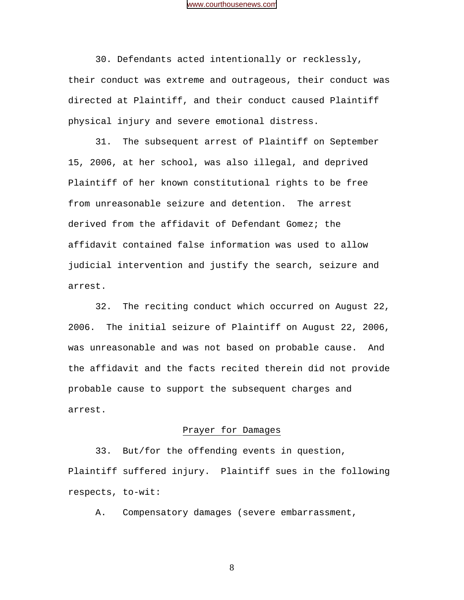30. Defendants acted intentionally or recklessly, their conduct was extreme and outrageous, their conduct was directed at Plaintiff, and their conduct caused Plaintiff physical injury and severe emotional distress.

31. The subsequent arrest of Plaintiff on September 15, 2006, at her school, was also illegal, and deprived Plaintiff of her known constitutional rights to be free from unreasonable seizure and detention. The arrest derived from the affidavit of Defendant Gomez; the affidavit contained false information was used to allow judicial intervention and justify the search, seizure and arrest.

32. The reciting conduct which occurred on August 22, 2006. The initial seizure of Plaintiff on August 22, 2006, was unreasonable and was not based on probable cause. And the affidavit and the facts recited therein did not provide probable cause to support the subsequent charges and arrest.

#### Prayer for Damages

 33. But/for the offending events in question, Plaintiff suffered injury. Plaintiff sues in the following respects, to-wit:

A. Compensatory damages (severe embarrassment,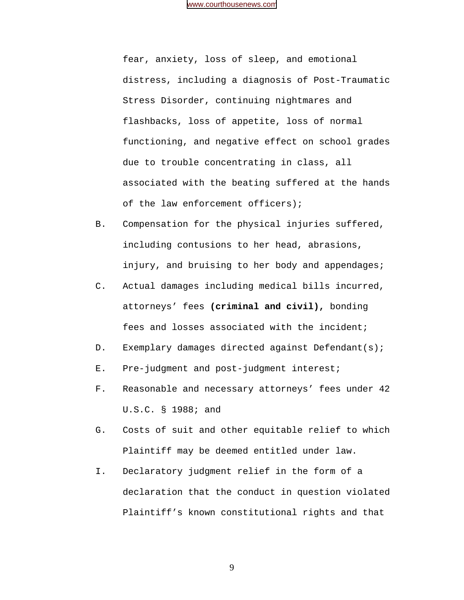fear, anxiety, loss of sleep, and emotional distress, including a diagnosis of Post-Traumatic Stress Disorder, continuing nightmares and flashbacks, loss of appetite, loss of normal functioning, and negative effect on school grades due to trouble concentrating in class, all associated with the beating suffered at the hands of the law enforcement officers);

- B. Compensation for the physical injuries suffered, including contusions to her head, abrasions, injury, and bruising to her body and appendages;
- C. Actual damages including medical bills incurred, attorneys' fees **(criminal and civil),** bonding fees and losses associated with the incident;
- D. Exemplary damages directed against Defendant(s);
- E. Pre-judgment and post-judgment interest;
- F. Reasonable and necessary attorneys' fees under 42 U.S.C. § 1988; and
- G. Costs of suit and other equitable relief to which Plaintiff may be deemed entitled under law.
- I. Declaratory judgment relief in the form of a declaration that the conduct in question violated Plaintiff's known constitutional rights and that